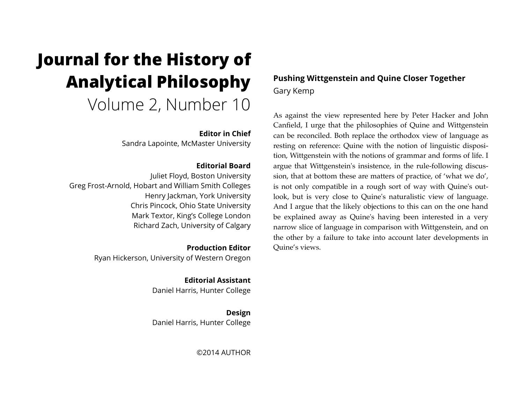# **Journal for the History of Analytical Philosophy**  Volume 2, Number 10

#### **Editor in Chief**

Sandra Lapointe, McMaster University

#### **Editorial Board**

Juliet Floyd, Boston University Greg Frost-Arnold, Hobart and William Smith Colleges Henry Jackman, York University Chris Pincock, Ohio State University Mark Textor, King's College London Richard Zach, University of Calgary

> **Production Editor** Ryan Hickerson, University of Western Oregon

> > **Editorial Assistant** Daniel Harris, Hunter College

> > **Design** Daniel Harris, Hunter College

> > > ©2014 AUTHOR

## **Pushing Wittgenstein and Quine Closer Together**  Gary Kemp

As against the view represented here by Peter Hacker and John Canfield, I urge that the philosophies of Quine and Wittgenstein can be reconciled. Both replace the orthodox view of language as resting on reference: Quine with the notion of linguistic disposition, Wittgenstein with the notions of grammar and forms of life. I argue that Wittgenstein's insistence, in the rule-following discussion, that at bottom these are matters of practice, of 'what we do', is not only compatible in a rough sort of way with Quine's outlook, but is very close to Quine's naturalistic view of language. And I argue that the likely objections to this can on the one hand be explained away as Quine's having been interested in a very narrow slice of language in comparison with Wittgenstein, and on the other by a failure to take into account later developments in Quine's views.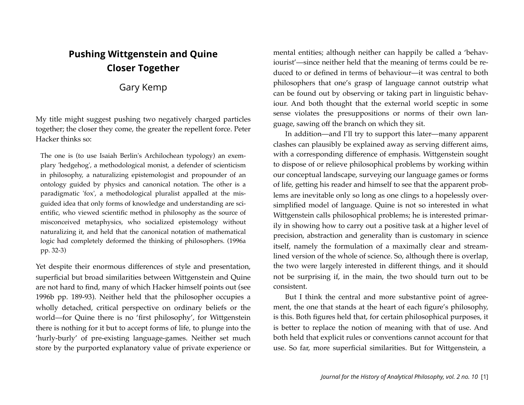# **Pushing Wittgenstein and Quine Closer Together**

Gary Kemp

My title might suggest pushing two negatively charged particles together; the closer they come, the greater the repellent force. Peter Hacker thinks so:

The one is (to use Isaiah Berlin's Archilochean typology) an exemplary 'hedgehog', a methodological monist, a defender of scienticism in philosophy, a naturalizing epistemologist and propounder of an ontology guided by physics and canonical notation. The other is a paradigmatic 'fox', a methodological pluralist appalled at the misguided idea that only forms of knowledge and understanding are scientific, who viewed scientific method in philosophy as the source of misconceived metaphysics, who socialized epistemology without naturalizing it, and held that the canonical notation of mathematical logic had completely deformed the thinking of philosophers. (1996a pp. 32-3)

Yet despite their enormous differences of style and presentation, superficial but broad similarities between Wittgenstein and Quine are not hard to find, many of which Hacker himself points out (see 1996b pp. 189-93). Neither held that the philosopher occupies a wholly detached, critical perspective on ordinary beliefs or the world—for Quine there is no 'first philosophy', for Wittgenstein there is nothing for it but to accept forms of life, to plunge into the 'hurly-burly' of pre-existing language-games. Neither set much store by the purported explanatory value of private experience or mental entities; although neither can happily be called a 'behaviourist'—since neither held that the meaning of terms could be reduced to or defined in terms of behaviour—it was central to both philosophers that one's grasp of language cannot outstrip what can be found out by observing or taking part in linguistic behaviour. And both thought that the external world sceptic in some sense violates the presuppositions or norms of their own language, sawing off the branch on which they sit.

In addition—and I'll try to support this later—many apparent clashes can plausibly be explained away as serving different aims, with a corresponding difference of emphasis. Wittgenstein sought to dispose of or relieve philosophical problems by working within our conceptual landscape, surveying our language games or forms of life, getting his reader and himself to see that the apparent problems are inevitable only so long as one clings to a hopelessly oversimplified model of language. Quine is not so interested in what Wittgenstein calls philosophical problems; he is interested primarily in showing how to carry out a positive task at a higher level of precision, abstraction and generality than is customary in science itself, namely the formulation of a maximally clear and streamlined version of the whole of science. So, although there is overlap, the two were largely interested in different things, and it should not be surprising if, in the main, the two should turn out to be consistent.

But I think the central and more substantive point of agreement, the one that stands at the heart of each figure's philosophy, is this. Both figures held that, for certain philosophical purposes, it is better to replace the notion of meaning with that of use. And both held that explicit rules or conventions cannot account for that use. So far, more superficial similarities. But for Wittgenstein, a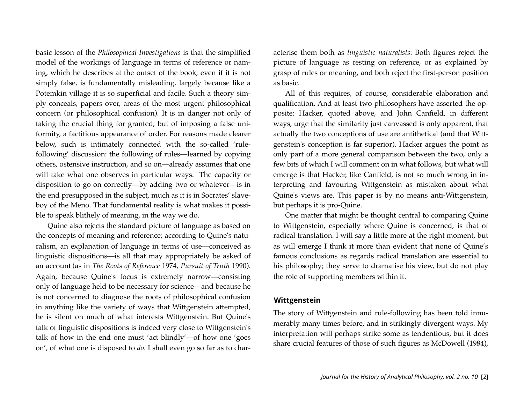basic lesson of the *Philosophical Investigations* is that the simplified model of the workings of language in terms of reference or naming, which he describes at the outset of the book, even if it is not simply false, is fundamentally misleading, largely because like a Potemkin village it is so superficial and facile. Such a theory simply conceals, papers over, areas of the most urgent philosophical concern (or philosophical confusion). It is in danger not only of taking the crucial thing for granted, but of imposing a false uniformity, a factitious appearance of order. For reasons made clearer below, such is intimately connected with the so-called 'rulefollowing' discussion: the following of rules—learned by copying others, ostensive instruction, and so on—already assumes that one will take what one observes in particular ways. The capacity or disposition to go on correctly—by adding two or whatever—is in the end presupposed in the subject, much as it is in Socrates' slaveboy of the Meno. That fundamental reality is what makes it possible to speak blithely of meaning, in the way we do.

Quine also rejects the standard picture of language as based on the concepts of meaning and reference; according to Quine's naturalism, an explanation of language in terms of use—conceived as linguistic dispositions—is all that may appropriately be asked of an account (as in *The Roots of Reference* 1974, *Pursuit of Truth* 1990). Again, because Quine's focus is extremely narrow—consisting only of language held to be necessary for science—and because he is not concerned to diagnose the roots of philosophical confusion in anything like the variety of ways that Wittgenstein attempted, he is silent on much of what interests Wittgenstein. But Quine's talk of linguistic dispositions is indeed very close to Wittgenstein's talk of how in the end one must 'act blindly'—of how one 'goes on', of what one is disposed to *do*. I shall even go so far as to characterise them both as *linguistic naturalists*: Both figures reject the picture of language as resting on reference, or as explained by grasp of rules or meaning, and both reject the first-person position as basic.

All of this requires, of course, considerable elaboration and qualification. And at least two philosophers have asserted the opposite: Hacker, quoted above, and John Canfield, in different ways, urge that the similarity just canvassed is only apparent, that actually the two conceptions of use are antithetical (and that Wittgenstein's conception is far superior). Hacker argues the point as only part of a more general comparison between the two, only a few bits of which I will comment on in what follows, but what will emerge is that Hacker, like Canfield, is not so much wrong in interpreting and favouring Wittgenstein as mistaken about what Quine's views are. This paper is by no means anti-Wittgenstein, but perhaps it is pro-Quine.

One matter that might be thought central to comparing Quine to Wittgenstein, especially where Quine is concerned, is that of radical translation. I will say a little more at the right moment, but as will emerge I think it more than evident that none of Quine's famous conclusions as regards radical translation are essential to his philosophy; they serve to dramatise his view, but do not play the role of supporting members within it.

#### **Wittgenstein**

The story of Wittgenstein and rule-following has been told innumerably many times before, and in strikingly divergent ways. My interpretation will perhaps strike some as tendentious, but it does share crucial features of those of such figures as McDowell (1984),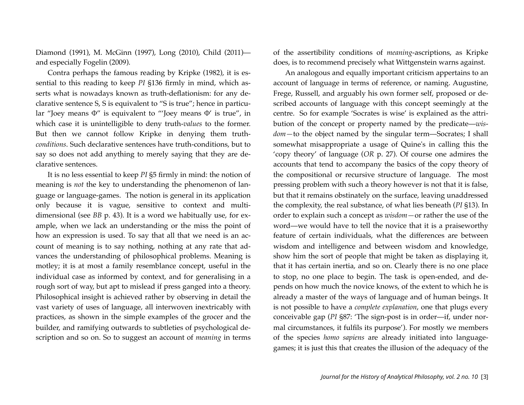Diamond (1991), M. McGinn (1997), Long (2010), Child (2011) and especially Fogelin (2009).

Contra perhaps the famous reading by Kripke (1982), it is essential to this reading to keep *PI* §136 firmly in mind, which asserts what is nowadays known as truth-deflationism: for any declarative sentence S, S is equivalent to "S is true"; hence in particular "Joey means Φ" is equivalent to "'Joey means Φ' is true", in which case it is unintelligible to deny truth-*values* to the former. But then we cannot follow Kripke in denying them truth*conditions*. Such declarative sentences have truth-conditions, but to say so does not add anything to merely saying that they are declarative sentences.

It is no less essential to keep *PI* §5 firmly in mind: the notion of meaning is *not* the key to understanding the phenomenon of language or language-games. The notion is general in its application only because it is vague, sensitive to context and multidimensional (see *BB* p. 43). It is a word we habitually use, for example, when we lack an understanding or the miss the point of how an expression is used. To say that all that we need is an account of meaning is to say nothing, nothing at any rate that advances the understanding of philosophical problems. Meaning is motley; it is at most a family resemblance concept, useful in the individual case as informed by context, and for generalising in a rough sort of way, but apt to mislead if press ganged into a theory. Philosophical insight is achieved rather by observing in detail the vast variety of uses of language, all interwoven inextricably with practices, as shown in the simple examples of the grocer and the builder, and ramifying outwards to subtleties of psychological description and so on. So to suggest an account of *meaning* in terms

of the assertibility conditions of *meaning*-ascriptions, as Kripke does, is to recommend precisely what Wittgenstein warns against.

An analogous and equally important criticism appertains to an account of language in terms of reference, or naming. Augustine, Frege, Russell, and arguably his own former self, proposed or described accounts of language with this concept seemingly at the centre. So for example 'Socrates is wise' is explained as the attribution of the concept or property named by the predicate—*wisdom—*to the object named by the singular term—Socrates; I shall somewhat misappropriate a usage of Quine's in calling this the 'copy theory' of language (*OR* p. 27). Of course one admires the accounts that tend to accompany the basics of the copy theory of the compositional or recursive structure of language. The most pressing problem with such a theory however is not that it is false, but that it remains obstinately on the surface, leaving unaddressed the complexity, the real substance, of what lies beneath (*PI* §13). In order to explain such a concept as *wisdom—*or rather the use of the word—we would have to tell the novice that it is a praiseworthy feature of certain individuals, what the differences are between wisdom and intelligence and between wisdom and knowledge, show him the sort of people that might be taken as displaying it, that it has certain inertia, and so on. Clearly there is no one place to stop, no one place to begin. The task is open-ended, and depends on how much the novice knows, of the extent to which he is already a master of the ways of language and of human beings. It is not possible to have a *complete explanation*, one that plugs every conceivable gap (*PI* §87: 'The sign-post is in order—if, under normal circumstances, it fulfils its purpose'). For mostly we members of the species *homo sapiens* are already initiated into languagegames; it is just this that creates the illusion of the adequacy of the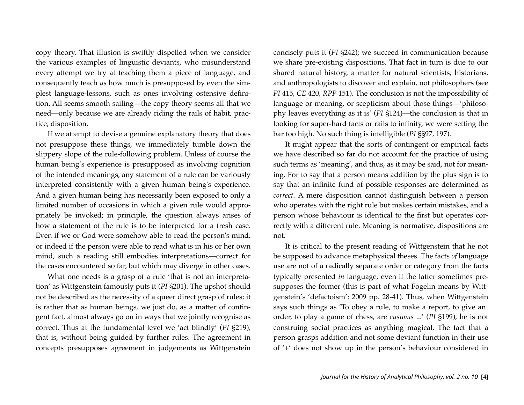copy theory. That illusion is swiftly dispelled when we consider the various examples of linguistic deviants, who misunderstand every attempt we try at teaching them a piece of language, and consequently teach *us* how much is presupposed by even the simplest language-lessons, such as ones involving ostensive definition. All seems smooth sailing—the copy theory seems all that we need—only because we are already riding the rails of habit, practice, disposition.

If we attempt to devise a genuine explanatory theory that does not presuppose these things, we immediately tumble down the slippery slope of the rule-following problem. Unless of course the human being's experience is presupposed as involving cognition of the intended meanings, any statement of a rule can be variously interpreted consistently with a given human being's experience. And a given human being has necessarily been exposed to only a limited number of occasions in which a given rule would appropriately be invoked; in principle, the question always arises of how a statement of the rule is to be interpreted for a fresh case. Even if we or God were somehow able to read the person's mind, or indeed if the person were able to read what is in his or her own mind, such a reading still embodies interpretations—correct for the cases encountered so far, but which may diverge in other cases.

What one needs is a grasp of a rule 'that is not an interpretation' as Wittgenstein famously puts it (*PI* §201). The upshot should not be described as the necessity of a queer direct grasp of rules; it is rather that as human beings, we just do, as a matter of contingent fact, almost always go on in ways that we jointly recognise as correct. Thus at the fundamental level we 'act blindly' (*PI* §219), that is, without being guided by further rules. The agreement in concepts presupposes agreement in judgements as Wittgenstein concisely puts it (*PI* §242); we succeed in communication because we share pre-existing dispositions. That fact in turn is due to our shared natural history, a matter for natural scientists, historians, and anthropologists to discover and explain, not philosophers (see *PI* 415, *CE* 420, *RPP* 151). The conclusion is not the impossibility of language or meaning, or scepticism about those things—'philosophy leaves everything as it is' (*PI* §124)—the conclusion is that in looking for super-hard facts or rails to infinity, we were setting the bar too high. No such thing is intelligible (*PI* §§97, 197).

It might appear that the sorts of contingent or empirical facts we have described so far do not account for the practice of using such terms as 'meaning', and thus, as it may be said, not for meaning. For to say that a person means addition by the plus sign is to say that an infinite fund of possible responses are determined as *correct*. A mere disposition cannot distinguish between a person who operates with the right rule but makes certain mistakes, and a person whose behaviour is identical to the first but operates correctly with a different rule. Meaning is normative, dispositions are not.

It is critical to the present reading of Wittgenstein that he not be supposed to advance metaphysical theses. The facts *of* language use are not of a radically separate order or category from the facts typically presented *in* language, even if the latter sometimes presupposes the former (this is part of what Fogelin means by Wittgenstein's 'defactoism'; 2009 pp. 28-41). Thus, when Wittgenstein says such things as 'To obey a rule, to make a report, to give an order, to play a game of chess, are *customs* ...' (*PI* §199), he is not construing social practices as anything magical. The fact that a person grasps addition and not some deviant function in their use of '+' does not show up in the person's behaviour considered in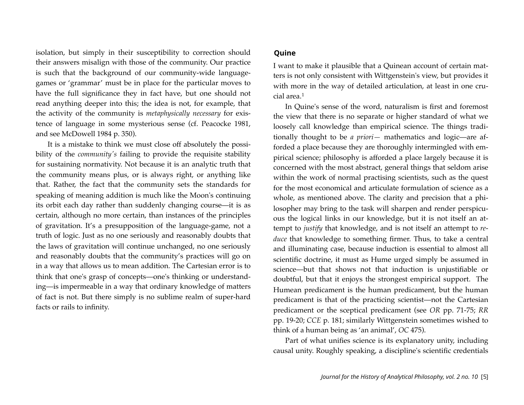isolation, but simply in their susceptibility to correction should their answers misalign with those of the community. Our practice is such that the background of our community-wide languagegames or 'grammar' must be in place for the particular moves to have the full significance they in fact have, but one should not read anything deeper into this; the idea is not, for example, that the activity of the community is *metaphysically necessary* for existence of language in some mysterious sense (cf. Peacocke 1981, and see McDowell 1984 p. 350).

It is a mistake to think we must close off absolutely the possibility of the *community's* failing to provide the requisite stability for sustaining normativity. Not because it is an analytic truth that the community means plus, or is always right, or anything like that. Rather, the fact that the community sets the standards for speaking of meaning addition is much like the Moon's continuing its orbit each day rather than suddenly changing course—it is as certain, although no more certain, than instances of the principles of gravitation. It's a presupposition of the language-game, not a truth of logic. Just as no one seriously and reasonably doubts that the laws of gravitation will continue unchanged, no one seriously and reasonably doubts that the community's practices will go on in a way that allows us to mean addition. The Cartesian error is to think that one's grasp of concepts—one's thinking or understanding—is impermeable in a way that ordinary knowledge of matters of fact is not. But there simply is no sublime realm of super-hard facts or rails to infinity.

#### **Quine**

I want to make it plausible that a Quinean account of certain matters is not only consistent with Wittgenstein's view, but provides it with more in the way of detailed articulation, at least in one crucial area.[1](#page-15-0)

In Quine's sense of the word, naturalism is first and foremost the view that there is no separate or higher standard of what we loosely call knowledge than empirical science. The things traditionally thought to be *a priori—* mathematics and logic—are afforded a place because they are thoroughly intermingled with empirical science; philosophy is afforded a place largely because it is concerned with the most abstract, general things that seldom arise within the work of normal practising scientists, such as the quest for the most economical and articulate formulation of science as a whole, as mentioned above. The clarity and precision that a philosopher may bring to the task will sharpen and render perspicuous the logical links in our knowledge, but it is not itself an attempt to *justify* that knowledge, and is not itself an attempt to *reduce* that knowledge to something firmer. Thus, to take a central and illuminating case, because induction is essential to almost all scientific doctrine, it must as Hume urged simply be assumed in science—but that shows not that induction is unjustifiable or doubtful, but that it enjoys the strongest empirical support. The Humean predicament is the human predicament, but the human predicament is that of the practicing scientist—not the Cartesian predicament or the sceptical predicament (see *OR* pp. 71-75; *RR*  pp. 19-20; *CCE* p. 181; similarly Wittgenstein sometimes wished to think of a human being as 'an animal', *OC* 475).

Part of what unifies science is its explanatory unity, including causal unity. Roughly speaking, a discipline's scientific credentials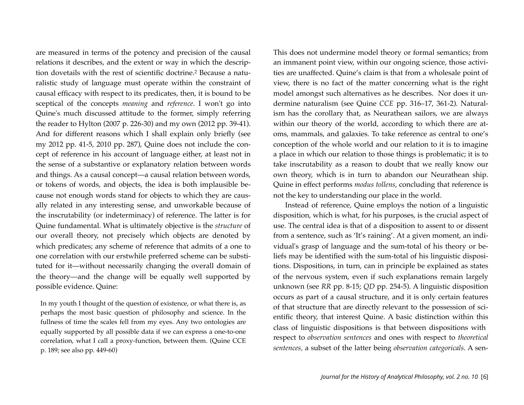are measured in terms of the potency and precision of the causal relations it describes, and the extent or way in which the description dovetails with the rest of scientific doctrine.[2](#page-15-1) Because a naturalistic study of language must operate within the constraint of causal efficacy with respect to its predicates, then, it is bound to be sceptical of the concepts *meaning* and *reference*. I won't go into Quine's much discussed attitude to the former, simply referring the reader to Hylton (2007 p. 226-30) and my own (2012 pp. 39-41). And for different reasons which I shall explain only briefly (see my 2012 pp. 41-5, 2010 pp. 287), Quine does not include the concept of reference in his account of language either, at least not in the sense of a substantive or explanatory relation between words and things. As a causal concept—a causal relation between words, or tokens of words, and objects, the idea is both implausible because not enough words stand for objects to which they are causally related in any interesting sense, and unworkable because of the inscrutability (or indeterminacy) of reference. The latter is for Quine fundamental. What is ultimately objective is the *structure* of our overall theory, not precisely which objects are denoted by which predicates; any scheme of reference that admits of a one to one correlation with our erstwhile preferred scheme can be substituted for it—without necessarily changing the overall domain of the theory—and the change will be equally well supported by possible evidence. Quine:

In my youth I thought of the question of existence, or what there is, as perhaps the most basic question of philosophy and science. In the fullness of time the scales fell from my eyes. Any two ontologies are equally supported by all possible data if we can express a one-to-one correlation, what I call a proxy-function, between them. (Quine CCE p. 189; see also pp. 449-60)

This does not undermine model theory or formal semantics; from an immanent point view, within our ongoing science, those activities are unaffected. Quine's claim is that from a wholesale point of view, there is no fact of the matter concerning what is the right model amongst such alternatives as he describes. Nor does it undermine naturalism (see Quine *CCE* pp. 316–17, 361-2). Naturalism has the corollary that, as Neurathean sailors, we are always within our theory of the world, according to which there are atoms, mammals, and galaxies. To take reference as central to one's conception of the whole world and our relation to it is to imagine a place in which our relation to those things is problematic; it is to take inscrutability as a reason to doubt that we really know our own theory, which is in turn to abandon our Neurathean ship. Quine in effect performs *modus tollens*, concluding that reference is not the key to understanding our place in the world.

Instead of reference, Quine employs the notion of a linguistic disposition, which is what, for his purposes, is the crucial aspect of use. The central idea is that of a disposition to assent to or dissent from a sentence, such as 'It's raining'. At a given moment, an individual's grasp of language and the sum-total of his theory or beliefs may be identified with the sum-total of his linguistic dispositions. Dispositions, in turn, can in principle be explained as states of the nervous system, even if such explanations remain largely unknown (see *RR* pp. 8-15; *QD* pp. 254-5). A linguistic disposition occurs as part of a causal structure, and it is only certain features of that structure that are directly relevant to the possession of scientific theory, that interest Quine. A basic distinction within this class of linguistic dispositions is that between dispositions with respect to *observation sentences* and ones with respect to *theoretical sentences,* a subset of the latter being *observation categoricals*. A sen-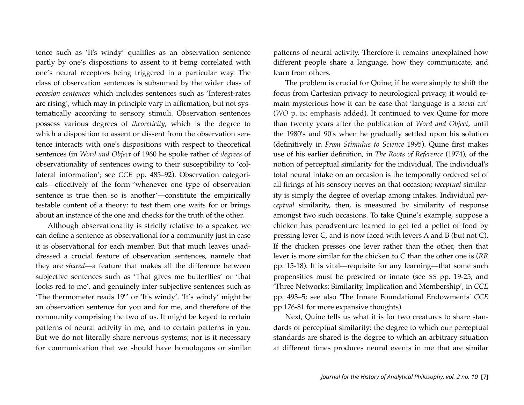tence such as 'It's windy' qualifies as an observation sentence partly by one's dispositions to assent to it being correlated with one's neural receptors being triggered in a particular way. The class of observation sentences is subsumed by the wider class of *occasion sentences* which includes sentences such as 'Interest-rates are rising', which may in principle vary in affirmation, but not systematically according to sensory stimuli. Observation sentences possess various degrees of *theoreticity*, which is the degree to which a disposition to assent or dissent from the observation sentence interacts with one's dispositions with respect to theoretical sentences (in *Word and Object* of 1960 he spoke rather of *degrees* of observationality of sentences owing to their susceptibility to 'collateral information'; see *CCE* pp. 485–92). Observation categoricals—effectively of the form 'whenever one type of observation sentence is true then so is another'—constitute the empirically testable content of a theory: to test them one waits for or brings about an instance of the one and checks for the truth of the other.

Although observationality is strictly relative to a speaker, we can define a sentence as observational for a community just in case it is observational for each member. But that much leaves unaddressed a crucial feature of observation sentences, namely that they are *shared*—a feature that makes all the difference between subjective sentences such as 'That gives me butterflies' or 'that looks red to me', and genuinely inter-subjective sentences such as 'The thermometer reads 19º' or 'It's windy'. 'It's windy' might be an observation sentence for you and for me, and therefore of the community comprising the two of us. It might be keyed to certain patterns of neural activity in me, and to certain patterns in you. But we do not literally share nervous systems; nor is it necessary for communication that we should have homologous or similar patterns of neural activity. Therefore it remains unexplained how different people share a language, how they communicate, and learn from others.

The problem is crucial for Quine; if he were simply to shift the focus from Cartesian privacy to neurological privacy, it would remain mysterious how it can be case that 'language is a *social* art' (*WO* p. ix; emphasis added). It continued to vex Quine for more than twenty years after the publication of *Word and Object,* until the 1980's and 90's when he gradually settled upon his solution (definitively in *From Stimulus to Science* 1995). Quine first makes use of his earlier definition, in *The Roots of Reference* (1974), of the notion of perceptual similarity for the individual. The individual's total neural intake on an occasion is the temporally ordered set of all firings of his sensory nerves on that occasion; *receptual* similarity is simply the degree of overlap among intakes. Individual *perceptual* similarity, then, is measured by similarity of response amongst two such occasions. To take Quine's example, suppose a chicken has peradventure learned to get fed a pellet of food by pressing lever C, and is now faced with levers A and B (but not C). If the chicken presses one lever rather than the other, then that lever is more similar for the chicken to C than the other one is (*RR*  pp. 15-18). It is vital—requisite for any learning—that some such propensities must be prewired or innate (see *SS* pp. 19-25, and 'Three Networks: Similarity, Implication and Membership', in *CCE*  pp. 493–5; see also 'The Innate Foundational Endowments' *CCE*  pp.176-81 for more expansive thoughts).

Next, Quine tells us what it is for two creatures to share standards of perceptual similarity: the degree to which our perceptual standards are shared is the degree to which an arbitrary situation at different times produces neural events in me that are similar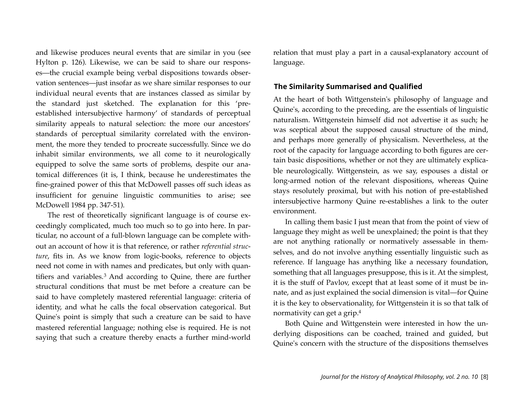and likewise produces neural events that are similar in you (see Hylton p. 126). Likewise, we can be said to share our responses—the crucial example being verbal dispositions towards observation sentences—just insofar as we share similar responses to our individual neural events that are instances classed as similar by the standard just sketched. The explanation for this 'preestablished intersubjective harmony' of standards of perceptual similarity appeals to natural selection: the more our ancestors' standards of perceptual similarity correlated with the environment, the more they tended to procreate successfully. Since we do inhabit similar environments, we all come to it neurologically equipped to solve the same sorts of problems, despite our anatomical differences (it is, I think, because he underestimates the fine-grained power of this that McDowell passes off such ideas as insufficient for genuine linguistic communities to arise; see McDowell 1984 pp. 347-51).

The rest of theoretically significant language is of course exceedingly complicated, much too much so to go into here. In particular, no account of a full-blown language can be complete without an account of how it is that reference, or rather *referential structure*, fits in. As we know from logic-books, reference to objects need not come in with names and predicates, but only with quantifiers and variables.[3](#page-15-2) And according to Quine, there are further structural conditions that must be met before a creature can be said to have completely mastered referential language: criteria of identity, and what he calls the focal observation categorical. But Quine's point is simply that such a creature can be said to have mastered referential language; nothing else is required. He is not saying that such a creature thereby enacts a further mind-world

relation that must play a part in a causal-explanatory account of language.

#### **The Similarity Summarised and Qualified**

At the heart of both Wittgenstein's philosophy of language and Quine's, according to the preceding, are the essentials of linguistic naturalism. Wittgenstein himself did not advertise it as such; he was sceptical about the supposed causal structure of the mind, and perhaps more generally of physicalism. Nevertheless, at the root of the capacity for language according to both figures are certain basic dispositions, whether or not they are ultimately explicable neurologically. Wittgenstein, as we say, espouses a distal or long-armed notion of the relevant dispositions, whereas Quine stays resolutely proximal, but with his notion of pre-established intersubjective harmony Quine re-establishes a link to the outer environment.

In calling them basic I just mean that from the point of view of language they might as well be unexplained; the point is that they are not anything rationally or normatively assessable in themselves, and do not involve anything essentially linguistic such as reference. If language has anything like a necessary foundation, something that all languages presuppose, this is it. At the simplest, it is the stuff of Pavlov, except that at least some of it must be innate, and as just explained the social dimension is vital—for Quine it is the key to observationality, for Wittgenstein it is so that talk of normativity can get a grip[.4](#page-15-3)

Both Quine and Wittgenstein were interested in how the underlying dispositions can be coached, trained and guided, but Quine's concern with the structure of the dispositions themselves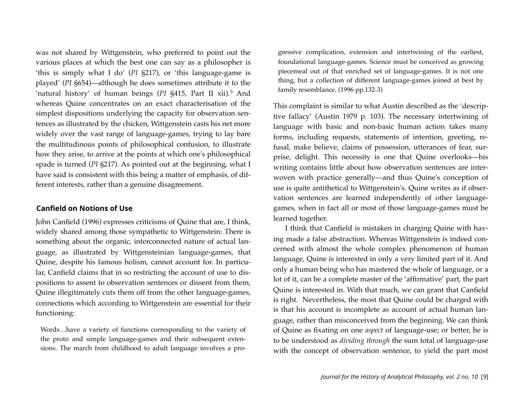was not shared by Wittgenstein, who preferred to point out the various places at which the best one can say as a philosopher is 'this is simply what I do' (*PI* §217), or 'this language-game is played' (*PI* §654)—although he does sometimes attribute it to the 'natural history' of human beings (*PI* §415, Part II xii).[5](#page-16-0) And whereas Quine concentrates on an exact characterisation of the simplest dispositions underlying the capacity for observation sentences as illustrated by the chicken, Wittgenstein casts his net more widely over the vast range of language-games, trying to lay bare the multitudinous points of philosophical confusion, to illustrate how they arise, to arrive at the points at which one's philosophical spade is turned (*PI* §217). As pointed out at the beginning, what I have said is consistent with this being a matter of emphasis, of different interests, rather than a genuine disagreement.

#### **Canfield on Notions of Use**

John Canfield (1996) expresses criticisms of Quine that are, I think, widely shared among those sympathetic to Wittgenstein: There is something about the organic, interconnected nature of actual language, as illustrated by Wittgensteinian language-games, that Quine, despite his famous holism, cannot account for. In particular, Canfield claims that in so restricting the account of use to dispositions to assent to observation sentences or dissent from them, Quine illegitimately cuts them off from the other language-games, connections which according to Wittgenstein are essential for their functioning:

Words…have a variety of functions corresponding to the variety of the proto and simple language-games and their subsequent extensions. The march from childhood to adult language involves a progressive complication, extension and intertwining of the earliest, foundational language-games. Science must be conceived as growing piecemeal out of that enriched set of language-games. It is not one thing, but a collection of different language-games joined at best by family resemblance. (1996 pp.132-3)

This complaint is similar to what Austin described as the 'descriptive fallacy' (Austin 1979 p. 103). The necessary intertwining of language with basic and non-basic human action takes many forms, including requests, statements of intention, greeting, refusal, make believe, claims of possession, utterances of fear, surprise, delight. This necessity is one that Quine overlooks—his writing contains little about how observation sentences are interwoven with practice generally—and thus Quine's conception of use is quite antithetical to Wittgenstein's. Quine writes as if observation sentences are learned independently of other languagegames, when in fact all or most of those language-games must be learned together.

I think that Canfield is mistaken in charging Quine with having made a false abstraction. Whereas Wittgenstein is indeed concerned with almost the whole complex phenomenon of human language, Quine is interested in only a very limited part of it. And only a human being who has mastered the whole of language, or a lot of it, can be a complete master of the 'affirmative' part, the part Quine is interested in. With that much, we can grant that Canfield is right. Nevertheless, the most that Quine could be charged with is that his account is incomplete as account of actual human language, rather than misconceived from the beginning. We can think of Quine as fixating on one *aspect* of language-use; or better, he is to be understood as *dividing through* the sum total of language-use with the concept of observation sentence, to yield the part most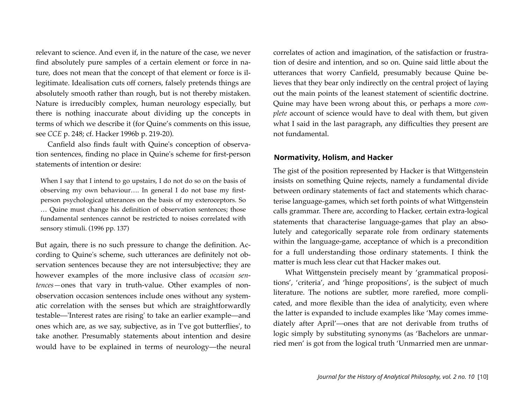relevant to science. And even if, in the nature of the case, we never find absolutely pure samples of a certain element or force in nature, does not mean that the concept of that element or force is illegitimate. Idealisation cuts off corners, falsely pretends things are absolutely smooth rather than rough, but is not thereby mistaken. Nature is irreducibly complex, human neurology especially, but there is nothing inaccurate about dividing up the concepts in terms of which we describe it (for Quine's comments on this issue, see *CCE* p. 248; cf. Hacker 1996b p. 219-20).

Canfield also finds fault with Quine's conception of observation sentences, finding no place in Quine's scheme for first-person statements of intention or desire:

When I say that I intend to go upstairs, I do not do so on the basis of observing my own behaviour…. In general I do not base my firstperson psychological utterances on the basis of my exteroceptors. So … Quine must change his definition of observation sentences; those fundamental sentences cannot be restricted to noises correlated with sensory stimuli. (1996 pp. 137)

But again, there is no such pressure to change the definition. According to Quine's scheme, such utterances are definitely not observation sentences because they are not intersubjective; they are however examples of the more inclusive class of *occasion sentences—*ones that vary in truth-value. Other examples of nonobservation occasion sentences include ones without any systematic correlation with the senses but which are straightforwardly testable—'Interest rates are rising' to take an earlier example—and ones which are, as we say, subjective, as in 'I've got butterflies', to take another. Presumably statements about intention and desire would have to be explained in terms of neurology—the neural correlates of action and imagination, of the satisfaction or frustration of desire and intention, and so on. Quine said little about the utterances that worry Canfield, presumably because Quine believes that they bear only indirectly on the central project of laying out the main points of the leanest statement of scientific doctrine. Quine may have been wrong about this, or perhaps a more *complete* account of science would have to deal with them, but given what I said in the last paragraph, any difficulties they present are not fundamental.

#### **Normativity, Holism, and Hacker**

The gist of the position represented by Hacker is that Wittgenstein insists on something Quine rejects, namely a fundamental divide between ordinary statements of fact and statements which characterise language-games, which set forth points of what Wittgenstein calls grammar. There are, according to Hacker, certain extra-logical statements that characterise language-games that play an absolutely and categorically separate role from ordinary statements within the language-game, acceptance of which is a precondition for a full understanding those ordinary statements. I think the matter is much less clear cut that Hacker makes out.

What Wittgenstein precisely meant by 'grammatical propositions', 'criteria', and 'hinge propositions', is the subject of much literature. The notions are subtler, more rarefied, more complicated, and more flexible than the idea of analyticity, even where the latter is expanded to include examples like 'May comes immediately after April'—ones that are not derivable from truths of logic simply by substituting synonyms (as 'Bachelors are unmarried men' is got from the logical truth 'Unmarried men are unmar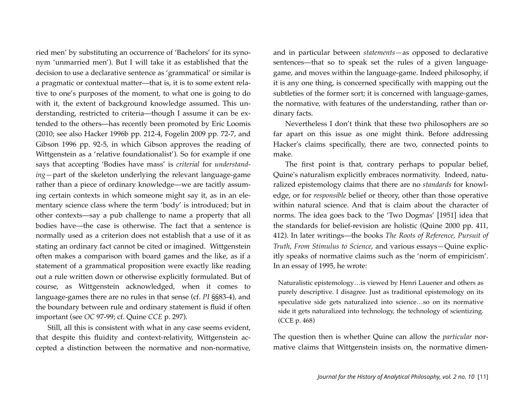ried men' by substituting an occurrence of 'Bachelors' for its synonym 'unmarried men'). But I will take it as established that the decision to use a declarative sentence as 'grammatical' or similar is a pragmatic or contextual matter—that is, it is to some extent relative to one's purposes of the moment, to what one is going to do with it, the extent of background knowledge assumed. This understanding, restricted to criteria—though I assume it can be extended to the others—has recently been promoted by Eric Loomis (2010; see also Hacker 1996b pp. 212-4, Fogelin 2009 pp. 72-7, and Gibson 1996 pp. 92-5, in which Gibson approves the reading of Wittgenstein as a 'relative foundationalist'). So for example if one says that accepting 'Bodies have mass' is *criterial* for *understanding—*part of the skeleton underlying the relevant language-game rather than a piece of ordinary knowledge—we are tacitly assuming certain contexts in which someone might say it, as in an elementary science class where the term 'body' is introduced; but in other contexts—say a pub challenge to name a property that all bodies have—the case is otherwise. The fact that a sentence is normally used as a criterion does not establish that a use of it as stating an ordinary fact cannot be cited or imagined. Wittgenstein often makes a comparison with board games and the like, as if a statement of a grammatical proposition were exactly like reading out a rule written down or otherwise explicitly formulated. But of course, as Wittgenstein acknowledged, when it comes to language-games there are no rules in that sense (cf. *PI* §§83-4), and the boundary between rule and ordinary statement is fluid if often important (see *OC* 97-99; cf. Quine *CCE* p. 297).

Still, all this is consistent with what in any case seems evident, that despite this fluidity and context-relativity, Wittgenstein accepted a distinction between the normative and non-normative, and in particular between *statements—*as opposed to declarative sentences—that so to speak set the rules of a given languagegame, and moves within the language-game. Indeed philosophy, if it is any one thing, is concerned specifically with mapping out the subtleties of the former sort; it is concerned with language-games, the normative, with features of the understanding, rather than ordinary facts.

Nevertheless I don't think that these two philosophers are so far apart on this issue as one might think. Before addressing Hacker's claims specifically, there are two, connected points to make.

The first point is that, contrary perhaps to popular belief, Quine's naturalism explicitly embraces normativity. Indeed, naturalized epistemology claims that there are no *standards* for knowledge, or for *responsible* belief or theory, other than those operative within natural science. And that is claim about the character of norms. The idea goes back to the 'Two Dogmas' [1951] idea that the standards for belief-revision are holistic (Quine 2000 pp. 411, 412). In later writings—the books *The Roots of Reference, Pursuit of Truth*, *From Stimulus to Science*, and various essays*—*Quine explicitly speaks of normative claims such as the 'norm of empiricism'. In an essay of 1995, he wrote:

Naturalistic epistemology…is viewed by Henri Lauener and others as purely descriptive. I disagree. Just as traditional epistemology on its speculative side gets naturalized into science…so on its normative side it gets naturalized into technology, the technology of scientizing. (CCE p. 468)

The question then is whether Quine can allow the *particular* normative claims that Wittgenstein insists on, the normative dimen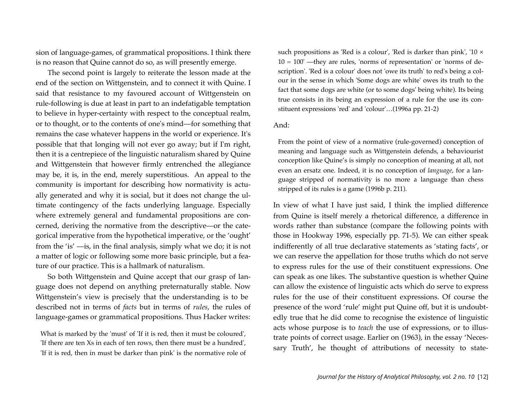sion of language-games, of grammatical propositions. I think there is no reason that Quine cannot do so, as will presently emerge.

The second point is largely to reiterate the lesson made at the end of the section on Wittgenstein, and to connect it with Quine. I said that resistance to my favoured account of Wittgenstein on rule-following is due at least in part to an indefatigable temptation to believe in hyper-certainty with respect to the conceptual realm, or to thought, or to the contents of one's mind—for something that remains the case whatever happens in the world or experience. It's possible that that longing will not ever go away; but if I'm right, then it is a centrepiece of the linguistic naturalism shared by Quine and Wittgenstein that however firmly entrenched the allegiance may be, it is, in the end, merely superstitious. An appeal to the community is important for describing how normativity is actually generated and why it is social, but it does not change the ultimate contingency of the facts underlying language. Especially where extremely general and fundamental propositions are concerned, deriving the normative from the descriptive—or the categorical imperative from the hypothetical imperative, or the 'ought' from the 'is' —is, in the final analysis, simply what we do; it is not a matter of logic or following some more basic principle, but a feature of our practice. This is a hallmark of naturalism.

So both Wittgenstein and Quine accept that our grasp of language does not depend on anything preternaturally stable. Now Wittgenstein's view is precisely that the understanding is to be described not in terms of *facts* but in terms of *rules*, the rules of language-games or grammatical propositions. Thus Hacker writes:

What is marked by the 'must' of 'If it is red, then it must be coloured', 'If there are ten Xs in each of ten rows, then there must be a hundred', 'If it is red, then in must be darker than pink' is the normative role of such propositions as 'Red is a colour', 'Red is darker than pink', '10 ×  $10 = 100'$  —they are rules, 'norms of representation' or 'norms of description'. 'Red is a colour' does not 'owe its truth' to red's being a colour in the sense in which 'Some dogs are white' owes its truth to the fact that some dogs are white (or to some dogs' being white). Its being true consists in its being an expression of a rule for the use its constituent expressions 'red' and 'colour'…(1996a pp. 21-2)

#### And:

From the point of view of a normative (rule-governed) conception of meaning and language such as Wittgenstein defends, a behaviourist conception like Quine's is simply no conception of meaning at all, not even an ersatz one. Indeed, it is no conception of *language*, for a language stripped of normativity is no more a language than chess stripped of its rules is a game (1996b p. 211).

In view of what I have just said, I think the implied difference from Quine is itself merely a rhetorical difference, a difference in words rather than substance (compare the following points with those in Hookway 1996, especially pp. 71-5). We can either speak indifferently of all true declarative statements as 'stating facts', or we can reserve the appellation for those truths which do not serve to express rules for the use of their constituent expressions. One can speak as one likes. The substantive question is whether Quine can allow the existence of linguistic acts which do serve to express rules for the use of their constituent expressions. Of course the presence of the word 'rule' might put Quine off, but it is undoubtedly true that he did come to recognise the existence of linguistic acts whose purpose is to *teach* the use of expressions, or to illustrate points of correct usage. Earlier on (1963), in the essay 'Necessary Truth', he thought of attributions of necessity to state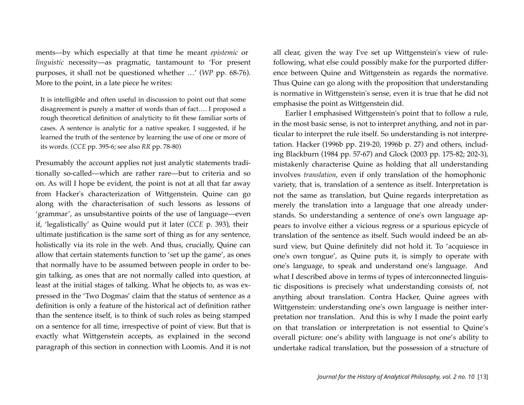ments—by which especially at that time he meant *epistemic* or *linguistic* necessity—as pragmatic, tantamount to 'For present purposes, it shall not be questioned whether …' (*WP* pp. 68-76). More to the point, in a late piece he writes:

It is intelligible and often useful in discussion to point out that some disagreement is purely a matter of words than of fact…. I proposed a rough theoretical definition of analyticity to fit these familiar sorts of cases. A sentence is analytic for a native speaker, I suggested, if he learned the truth of the sentence by learning the use of one or more of its words. (*CCE* pp. 395-6; see also *RR* pp. 78-80)

Presumably the account applies not just analytic statements traditionally so-called—which are rather rare—but to criteria and so on. As will I hope be evident, the point is not at all that far away from Hacker's characterization of Wittgenstein. Quine can go along with the characterisation of such lessons as lessons of 'grammar', as unsubstantive points of the use of language—even if, 'legalistically' as Quine would put it later (*CCE* p. 393), their ultimate justification is the same sort of thing as for any sentence, holistically via its role in the web. And thus, crucially, Quine can allow that certain statements function to 'set up the game', as ones that normally have to be assumed between people in order to begin talking, as ones that are not normally called into question, at least at the initial stages of talking. What he objects to, as was expressed in the 'Two Dogmas' claim that the status of sentence as a definition is only a feature of the historical act of definition rather than the sentence itself, is to think of such roles as being stamped on a sentence for all time, irrespective of point of view. But that is exactly what Wittgenstein accepts, as explained in the second paragraph of this section in connection with Loomis. And it is not all clear, given the way I've set up Wittgenstein's view of rulefollowing, what else could possibly make for the purported difference between Quine and Wittgenstein as regards the normative. Thus Quine can go along with the proposition that understanding is normative in Wittgenstein's sense, even it is true that he did not emphasise the point as Wittgenstein did.

Earlier I emphasised Wittgenstein's point that to follow a rule, in the most basic sense, is not to interpret anything, and not in particular to interpret the rule itself. So understanding is not interpretation. Hacker (1996b pp. 219-20, 1996b p. 27) and others, including Blackburn (1984 pp. 57-67) and Glock (2003 pp. 175-82; 202-3), mistakenly characterise Quine as holding that all understanding involves *translation*, even if only translation of the homophonic variety, that is, translation of a sentence as itself. Interpretation is not the same as translation, but Quine regards interpretation as merely the translation into a language that one already understands. So understanding a sentence of one's own language appears to involve either a vicious regress or a spurious epicycle of translation of the sentence as itself. Such would indeed be an absurd view, but Quine definitely did not hold it. To 'acquiesce in one's own tongue', as Quine puts it, is simply to operate with one's language, to speak and understand one's language. And what I described above in terms of types of interconnected linguistic dispositions is precisely what understanding consists of, not anything about translation. Contra Hacker, Quine agrees with Wittgenstein: understanding one's own language is neither interpretation nor translation. And this is why I made the point early on that translation or interpretation is not essential to Quine's overall picture: one's ability with language is not one's ability to undertake radical translation, but the possession of a structure of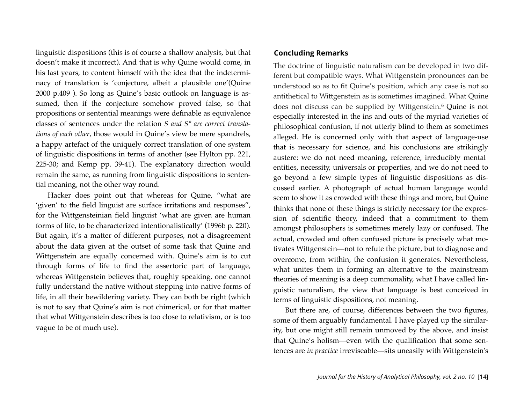linguistic dispositions (this is of course a shallow analysis, but that doesn't make it incorrect). And that is why Quine would come, in his last years, to content himself with the idea that the indeterminacy of translation is 'conjecture, albeit a plausible one'(Quine 2000 p.409 ). So long as Quine's basic outlook on language is assumed, then if the conjecture somehow proved false, so that propositions or sentential meanings were definable as equivalence classes of sentences under the relation *S and S\* are correct translations of each other*, those would in Quine's view be mere spandrels, a happy artefact of the uniquely correct translation of one system of linguistic dispositions in terms of another (see Hylton pp. 221, 225-30; and Kemp pp. 39-41). The explanatory direction would remain the same, as running from linguistic dispositions to sentential meaning, not the other way round.

Hacker does point out that whereas for Quine, "what are 'given' to the field linguist are surface irritations and responses", for the Wittgensteinian field linguist 'what are given are human forms of life, to be characterized intentionalistically' (1996b p. 220). But again, it's a matter of different purposes, not a disagreement about the data given at the outset of some task that Quine and Wittgenstein are equally concerned with. Quine's aim is to cut through forms of life to find the assertoric part of language, whereas Wittgenstein believes that, roughly speaking, one cannot fully understand the native without stepping into native forms of life, in all their bewildering variety. They can both be right (which is not to say that Quine's aim is not chimerical, or for that matter that what Wittgenstein describes is too close to relativism, or is too vague to be of much use).

#### **Concluding Remarks**

The doctrine of linguistic naturalism can be developed in two different but compatible ways. What Wittgenstein pronounces can be understood so as to fit Quine's position, which any case is not so antithetical to Wittgenstein as is sometimes imagined. What Quine does not discuss can be supplied by Wittgenstein.[6](#page-16-1) Quine is not especially interested in the ins and outs of the myriad varieties of philosophical confusion, if not utterly blind to them as sometimes alleged. He is concerned only with that aspect of language-use that is necessary for science, and his conclusions are strikingly austere: we do not need meaning, reference, irreducibly mental entities, necessity, universals or properties, and we do not need to go beyond a few simple types of linguistic dispositions as discussed earlier. A photograph of actual human language would seem to show it as crowded with these things and more, but Quine thinks that none of these things is strictly necessary for the expression of scientific theory, indeed that a commitment to them amongst philosophers is sometimes merely lazy or confused. The actual, crowded and often confused picture is precisely what motivates Wittgenstein—not to refute the picture, but to diagnose and overcome, from within, the confusion it generates. Nevertheless, what unites them in forming an alternative to the mainstream theories of meaning is a deep commonality, what I have called linguistic naturalism, the view that language is best conceived in terms of linguistic dispositions, not meaning.

But there are, of course, differences between the two figures, some of them arguably fundamental. I have played up the similarity, but one might still remain unmoved by the above, and insist that Quine's holism—even with the qualification that some sentences are *in practice* irreviseable—sits uneasily with Wittgenstein's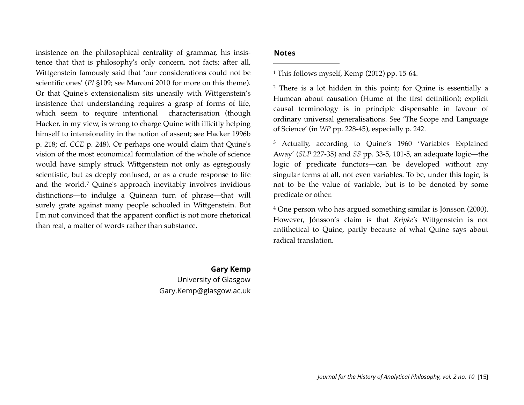insistence on the philosophical centrality of grammar, his insistence that that is philosophy's only concern, not facts; after all, Wittgenstein famously said that 'our considerations could not be scientific ones' (*PI* §109; see Marconi 2010 for more on this theme). Or that Quine's extensionalism sits uneasily with Wittgenstein's insistence that understanding requires a grasp of forms of life, which seem to require intentional characterisation (though Hacker, in my view, is wrong to charge Quine with illicitly helping himself to inten*s*ionality in the notion of assent; see Hacker 1996b p. 218; cf. *CCE* p. 248). Or perhaps one would claim that Quine's vision of the most economical formulation of the whole of science would have simply struck Wittgenstein not only as egregiously scientistic, but as deeply confused, or as a crude response to life and the world.[7](#page-16-2) Quine's approach inevitably involves invidious distinctions—to indulge a Quinean turn of phrase—that will surely grate against many people schooled in Wittgenstein. But I'm not convinced that the apparent conflict is not more rhetorical than real, a matter of words rather than substance.

#### **Notes**

<span id="page-15-0"></span>1 This follows myself, Kemp (2012) pp. 15-64.

<span id="page-15-1"></span>2 There is a lot hidden in this point; for Quine is essentially a Humean about causation (Hume of the first definition); explicit causal terminology is in principle dispensable in favour of ordinary universal generalisations. See 'The Scope and Language of Science' (in *WP* pp. 228-45), especially p. 242.

<span id="page-15-2"></span>3 Actually, according to Quine's 1960 'Variables Explained Away' (*SLP* 227-35) and *SS* pp. 33-5, 101-5, an adequate logic—the logic of predicate functors—can be developed without any singular terms at all, not even variables. To be, under this logic, is not to be the value of variable, but is to be denoted by some predicate or other.

<span id="page-15-3"></span>4 One person who has argued something similar is Jónsson (2000). However, Jónsson's claim is that *Kripke's* Wittgenstein is not antithetical to Quine, partly because of what Quine says about radical translation.

### **Gary Kemp** University of Glasgow Gary.Kemp@glasgow.ac.uk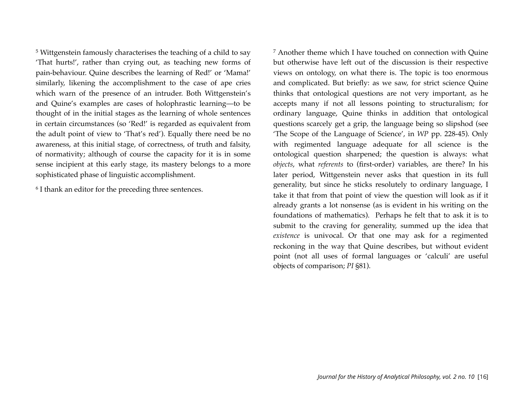<span id="page-16-0"></span>5 Wittgenstein famously characterises the teaching of a child to say 'That hurts!', rather than crying out, as teaching new forms of pain-behaviour. Quine describes the learning of Red!' or 'Mama!' similarly, likening the accomplishment to the case of ape cries which warn of the presence of an intruder. Both Wittgenstein's and Quine's examples are cases of holophrastic learning—to be thought of in the initial stages as the learning of whole sentences in certain circumstances (so 'Red!' is regarded as equivalent from the adult point of view to 'That's red'). Equally there need be no awareness, at this initial stage, of correctness, of truth and falsity, of normativity; although of course the capacity for it is in some sense incipient at this early stage, its mastery belongs to a more sophisticated phase of linguistic accomplishment.

<span id="page-16-1"></span>6 I thank an editor for the preceding three sentences.

<span id="page-16-2"></span>7 Another theme which I have touched on connection with Quine but otherwise have left out of the discussion is their respective views on ontology, on what there is. The topic is too enormous and complicated. But briefly: as we saw, for strict science Quine thinks that ontological questions are not very important, as he accepts many if not all lessons pointing to structuralism; for ordinary language, Quine thinks in addition that ontological questions scarcely get a grip, the language being so slipshod (see 'The Scope of the Language of Science', in *WP* pp. 228-45). Only with regimented language adequate for all science is the ontological question sharpened; the question is always: what *objects*, what *referents* to (first-order) variables, are there? In his later period, Wittgenstein never asks that question in its full generality, but since he sticks resolutely to ordinary language, I take it that from that point of view the question will look as if it already grants a lot nonsense (as is evident in his writing on the foundations of mathematics). Perhaps he felt that to ask it is to submit to the craving for generality, summed up the idea that *existence* is univocal. Or that one may ask for a regimented reckoning in the way that Quine describes, but without evident point (not all uses of formal languages or 'calculi' are useful objects of comparison; *PI* §81).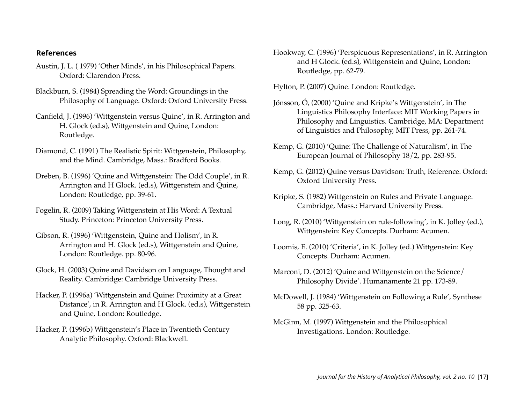#### **References**

- Austin, J. L. ( 1979) 'Other Minds', in his Philosophical Papers. Oxford: Clarendon Press.
- Blackburn, S. (1984) Spreading the Word: Groundings in the Philosophy of Language. Oxford: Oxford University Press.
- Canfield, J. (1996) 'Wittgenstein versus Quine', in R. Arrington and H. Glock (ed.s), Wittgenstein and Quine, London: Routledge.
- Diamond, C. (1991) The Realistic Spirit: Wittgenstein, Philosophy, and the Mind. Cambridge, Mass.: Bradford Books.
- Dreben, B. (1996) 'Quine and Wittgenstein: The Odd Couple', in R. Arrington and H Glock. (ed.s), Wittgenstein and Quine, London: Routledge, pp. 39-61.
- Fogelin, R. (2009) Taking Wittgenstein at His Word: A Textual Study. Princeton: Princeton University Press.
- Gibson, R. (1996) 'Wittgenstein, Quine and Holism', in R. Arrington and H. Glock (ed.s), Wittgenstein and Quine, London: Routledge. pp. 80-96.
- Glock, H. (2003) Quine and Davidson on Language, Thought and Reality. Cambridge: Cambridge University Press.
- Hacker, P. (1996a) 'Wittgenstein and Quine: Proximity at a Great Distance', in R. Arrington and H Glock. (ed.s), Wittgenstein and Quine, London: Routledge.
- Hacker, P. (1996b) Wittgenstein's Place in Twentieth Century Analytic Philosophy. Oxford: Blackwell.
- Hookway, C. (1996) 'Perspicuous Representations', in R. Arrington and H Glock. (ed.s), Wittgenstein and Quine, London: Routledge, pp. 62-79.
- Hylton, P. (2007) Quine. London: Routledge.
- Jónsson, Ó, (2000) 'Quine and Kripke's Wittgenstein', in The Linguistics Philosophy Interface: MIT Working Papers in Philosophy and Linguistics. Cambridge, MA: Department of Linguistics and Philosophy, MIT Press, pp. 261-74.
- Kemp, G. (2010) 'Quine: The Challenge of Naturalism', in The European Journal of Philosophy 18/2, pp. 283-95.
- Kemp, G. (2012) Quine versus Davidson: Truth, Reference. Oxford: Oxford University Press.
- Kripke, S. (1982) Wittgenstein on Rules and Private Language. Cambridge, Mass.: Harvard University Press.
- Long, R. (2010) 'Wittgenstein on rule-following', in K. Jolley (ed.), Wittgenstein: Key Concepts. Durham: Acumen.
- Loomis, E. (2010) 'Criteria', in K. Jolley (ed.) Wittgenstein: Key Concepts. Durham: Acumen.
- Marconi, D. (2012) 'Quine and Wittgenstein on the Science/ Philosophy Divide'. Humanamente 21 pp. 173-89.
- McDowell, J. (1984) 'Wittgenstein on Following a Rule', Synthese 58 pp. 325-63.
- McGinn, M. (1997) Wittgenstein and the Philosophical Investigations. London: Routledge.